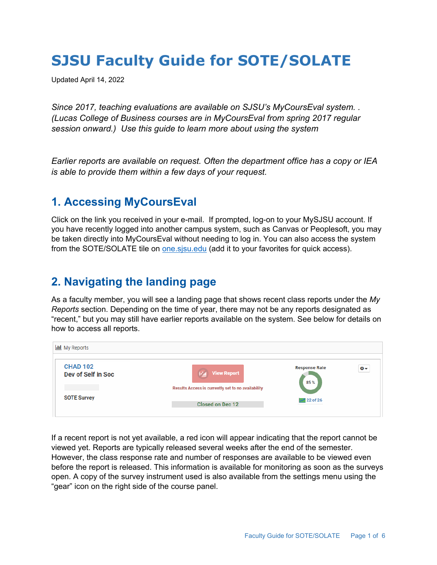# **SJSU Faculty Guide for SOTE/SOLATE**

Updated April 14, 2022

*Since 2017, teaching evaluations are available on SJSU's MyCoursEval system. . (Lucas College of Business courses are in MyCoursEval from spring 2017 regular session onward.) Use this guide to learn more about using the system*

*Earlier reports are available on request. Often the department office has a copy or IEA is able to provide them within a few days of your request.* 

### **1. Accessing MyCoursEval**

Click on the link you received in your e-mail. If prompted, log-on to your MySJSU account. If you have recently logged into another campus system, such as Canvas or Peoplesoft, you may be taken directly into MyCoursEval without needing to log in. You can also access the system from the SOTE/SOLATE tile on one sisuledu (add it to your favorites for quick access).

# **2. Navigating the landing page**

As a faculty member, you will see a landing page that shows recent class reports under the *My Reports* section. Depending on the time of year, there may not be any reports designated as "recent," but you may still have earlier reports available on the system. See below for details on how to access all reports.



If a recent report is not yet available, a red icon will appear indicating that the report cannot be viewed yet. Reports are typically released several weeks after the end of the semester. However, the class response rate and number of responses are available to be viewed even before the report is released. This information is available for monitoring as soon as the surveys open. A copy of the survey instrument used is also available from the settings menu using the "gear" icon on the right side of the course panel.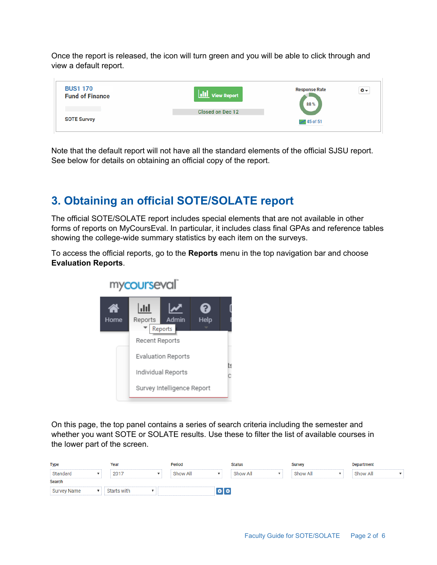Once the report is released, the icon will turn green and you will be able to click through and view a default report.



Note that the default report will not have all the standard elements of the official SJSU report. See below for details on obtaining an official copy of the report.

# **3. Obtaining an official SOTE/SOLATE report**

The official SOTE/SOLATE report includes special elements that are not available in other forms of reports on MyCoursEval. In particular, it includes class final GPAs and reference tables showing the college-wide summary statistics by each item on the surveys.

To access the official reports, go to the **Reports** menu in the top navigation bar and choose **Evaluation Reports**.



mycourseval

On this page, the top panel contains a series of search criteria including the semester and whether you want SOTE or SOLATE results. Use these to filter the list of available courses in the lower part of the screen.

| <b>Type</b>        |  | Year        |  | Period   |                     | Status   |  | <b>Survey</b> |  | <b>Department</b> |  |
|--------------------|--|-------------|--|----------|---------------------|----------|--|---------------|--|-------------------|--|
| Standard           |  | 2017        |  | Show All |                     | Show All |  | Show All      |  | Show All          |  |
| Search             |  |             |  |          |                     |          |  |               |  |                   |  |
| <b>Survey Name</b> |  | Starts with |  |          | $\bullet$ $\bullet$ |          |  |               |  |                   |  |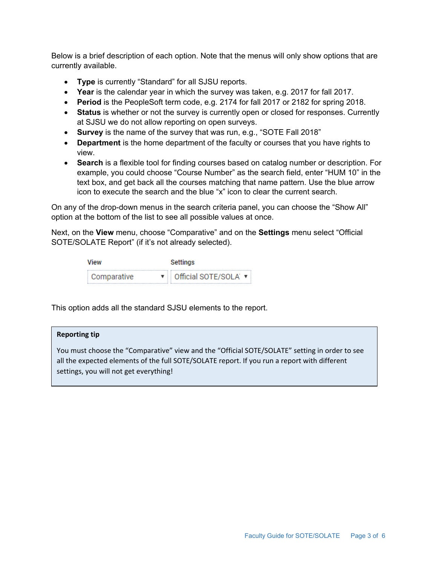Below is a brief description of each option. Note that the menus will only show options that are currently available.

- **Type** is currently "Standard" for all SJSU reports.
- **Year** is the calendar year in which the survey was taken, e.g. 2017 for fall 2017.
- **Period** is the PeopleSoft term code, e.g. 2174 for fall 2017 or 2182 for spring 2018.
- **Status** is whether or not the survey is currently open or closed for responses. Currently at SJSU we do not allow reporting on open surveys.
- **Survey** is the name of the survey that was run, e.g., "SOTE Fall 2018"
- **Department** is the home department of the faculty or courses that you have rights to view.
- **Search** is a flexible tool for finding courses based on catalog number or description. For example, you could choose "Course Number" as the search field, enter "HUM 10" in the text box, and get back all the courses matching that name pattern. Use the blue arrow icon to execute the search and the blue "x" icon to clear the current search.

On any of the drop-down menus in the search criteria panel, you can choose the "Show All" option at the bottom of the list to see all possible values at once.

Next, on the **View** menu, choose "Comparative" and on the **Settings** menu select "Official SOTE/SOLATE Report" (if it's not already selected).

| View        | Settings               |  |  |  |  |  |
|-------------|------------------------|--|--|--|--|--|
| Comparative | ▼ Official SOTE/SOLA ▼ |  |  |  |  |  |

This option adds all the standard SJSU elements to the report.

#### **Reporting tip**

You must choose the "Comparative" view and the "Official SOTE/SOLATE" setting in order to see all the expected elements of the full SOTE/SOLATE report. If you run a report with different settings, you will not get everything!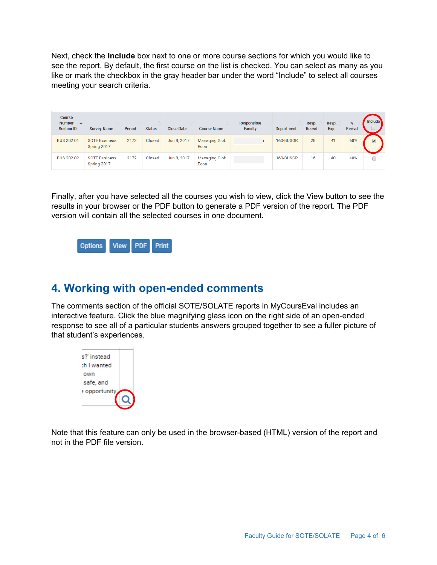Next, check the **Include** box next to one or more course sections for which you would like to see the report. By default, the first course on the list is checked. You can select as many as you like or mark the checkbox in the gray header bar under the word "Include" to select all courses meeting your search criteria.

| <b>Course</b><br>Number $\rightarrow$<br>- Section ID | ∧<br><b>Survey Name</b>             | <b>Period</b> | ∧<br><b>Status</b> | ∧<br><b>Close Date</b> | <b>Course Name</b>           | Responsible<br><b>Faculty</b> | <b>Department</b> | Resp.<br>Rec'vd | Resp.<br>Exp. | %<br>Rec'vd | <b>Include</b>       |
|-------------------------------------------------------|-------------------------------------|---------------|--------------------|------------------------|------------------------------|-------------------------------|-------------------|-----------------|---------------|-------------|----------------------|
| <b>BUS 202 01</b>                                     | <b>SOTE Business</b><br>Spring 2017 | 2172          | Closed             | Jun 8, 2017            | Managing Glob<br>Econ        |                               | 160-BUSGR         | 28              | 41            | 68%         | $\overline{\bullet}$ |
| <b>BUS 202 02</b>                                     | <b>SOTE Business</b><br>Spring 2017 | 2172          | Closed             | Jun 8, 2017            | <b>Managing Glob</b><br>Econ |                               | 160-BUSGR         | 16              | 40            | 40%         |                      |

Finally, after you have selected all the courses you wish to view, click the View button to see the results in your browser or the PDF button to generate a PDF version of the report. The PDF version will contain all the selected courses in one document.



### **4. Working with open-ended comments**

The comments section of the official SOTE/SOLATE reports in MyCoursEval includes an interactive feature. Click the blue magnifying glass icon on the right side of an open-ended response to see all of a particular students answers grouped together to see a fuller picture of that student's experiences.



Note that this feature can only be used in the browser-based (HTML) version of the report and not in the PDF file version.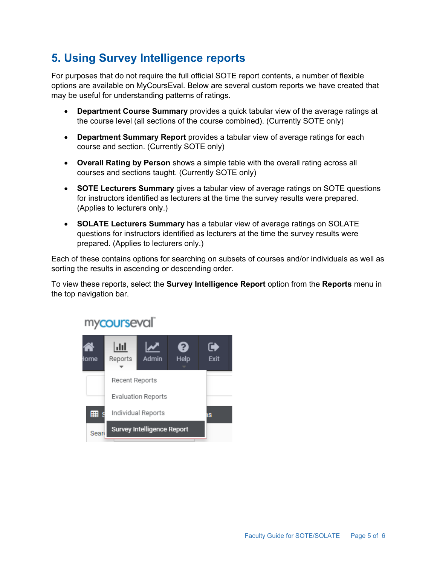# **5. Using Survey Intelligence reports**

For purposes that do not require the full official SOTE report contents, a number of flexible options are available on MyCoursEval. Below are several custom reports we have created that may be useful for understanding patterns of ratings.

- **Department Course Summary** provides a quick tabular view of the average ratings at the course level (all sections of the course combined). (Currently SOTE only)
- **Department Summary Report** provides a tabular view of average ratings for each course and section. (Currently SOTE only)
- **Overall Rating by Person** shows a simple table with the overall rating across all courses and sections taught. (Currently SOTE only)
- **SOTE Lecturers Summary** gives a tabular view of average ratings on SOTE questions for instructors identified as lecturers at the time the survey results were prepared. (Applies to lecturers only.)
- **SOLATE Lecturers Summary** has a tabular view of average ratings on SOLATE questions for instructors identified as lecturers at the time the survey results were prepared. (Applies to lecturers only.)

Each of these contains options for searching on subsets of courses and/or individuals as well as sorting the results in ascending or descending order.

To view these reports, select the **Survey Intelligence Report** option from the **Reports** menu in the top navigation bar.



# mycourseval